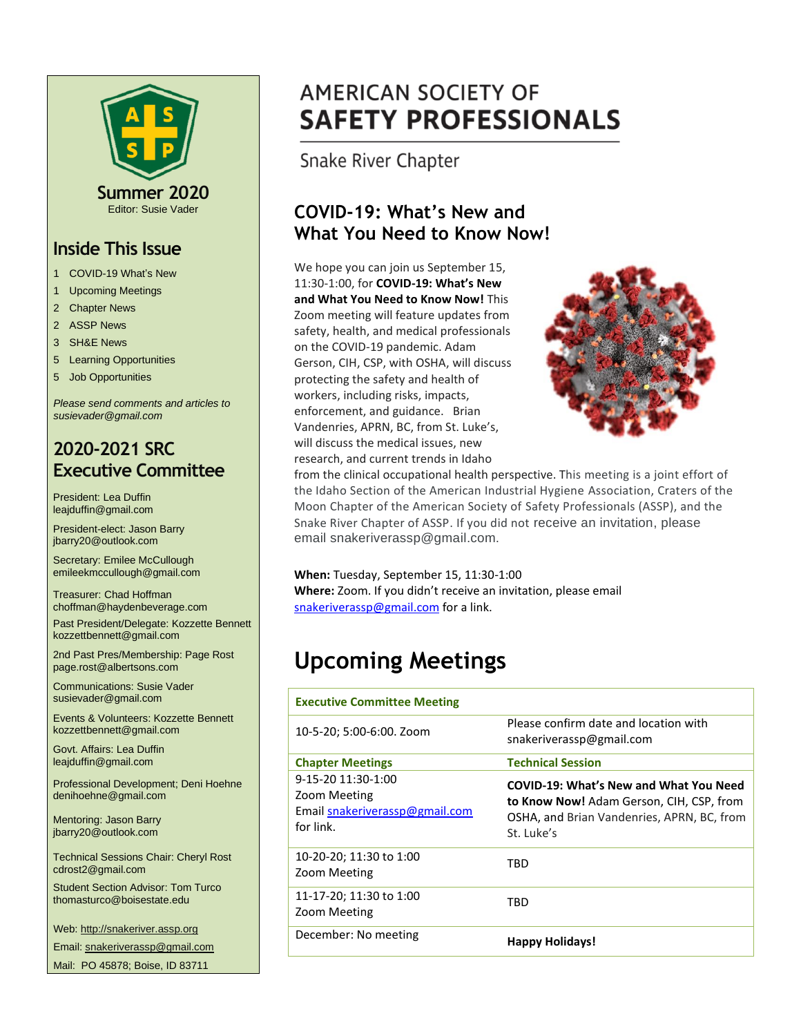

Editor: Susie Vader

#### **Inside This Issue**

- 1 COVID-19 What's New
- 1 Upcoming Meetings
- 2 Chapter News
- 2 ASSP News
- 3 SH&E News
- 5 Learning Opportunities
- 5 Job Opportunities

*Please send comments and articles to susievader@gmail.com*

#### **2020-2021 SRC Executive Committee**

President: Lea Duffin leajduffin@gmail.com

President-elect: Jason Barry jbarry20@outlook.com

Secretary: Emilee McCullough emileekmccullough@gmail.com

Treasurer: Chad Hoffman choffman@haydenbeverage.com

Past President/Delegate: Kozzette Bennett kozzettbennett@gmail.com

2nd Past Pres/Membership: Page Rost page.rost@albertsons.com

Communications: Susie Vader susievader@gmail.com

Events & Volunteers: Kozzette Bennett kozzettbennett@gmail.com

Govt. Affairs: Lea Duffin leajduffin@gmail.com

Professional Development; Deni Hoehne denihoehne@gmail.com

Mentoring: Jason Barry jbarry20@outlook.com

Technical Sessions Chair: Cheryl Rost cdrost2@gmail.com

Student Section Advisor: Tom Turco thomasturco@boisestate.edu

Web: http://snakeriver.assp.org

Email: snakeriverassp@gmail.com

Mail: PO 45878; Boise, ID 83711

## **AMERICAN SOCIETY OF SAFETY PROFESSIONALS**

Snake River Chapter

#### **COVID-19: What's New and What You Need to Know Now!**

We hope you can join us September 15, 11:30-1:00, for **COVID-19: What's New and What You Need to Know Now!** This Zoom meeting will feature updates from safety, health, and medical professionals on the COVID-19 pandemic. Adam Gerson, CIH, CSP, with OSHA, will discuss protecting the safety and health of workers, including risks, impacts, enforcement, and guidance. Brian Vandenries, APRN, BC, from St. Luke's, will discuss the medical issues, new research, and current trends in Idaho



from the clinical occupational health perspective. This meeting is a joint effort of the Idaho Section of the American Industrial Hygiene Association, Craters of the Moon Chapter of the American Society of Safety Professionals (ASSP), and the Snake River Chapter of ASSP. If you did not receive an invitation, please email snakeriverassp@gmail.com.

**When:** Tuesday, September 15, 11:30-1:00 **Where:** Zoom. If you didn't receive an invitation, please email [snakeriverassp@gmail.com](mailto:snakeriverassp@gmail.com) for a link.

## **Upcoming Meetings**

| <b>Executive Committee Meeting</b>                                                |                                                                                                                                                       |
|-----------------------------------------------------------------------------------|-------------------------------------------------------------------------------------------------------------------------------------------------------|
| 10-5-20; 5:00-6:00. Zoom                                                          | Please confirm date and location with<br>snakeriverassp@gmail.com                                                                                     |
| <b>Chapter Meetings</b>                                                           | <b>Technical Session</b>                                                                                                                              |
| 9-15-20 11:30-1:00<br>Zoom Meeting<br>Email snakeriverassp@gmail.com<br>for link. | <b>COVID-19: What's New and What You Need</b><br>to Know Now! Adam Gerson, CIH, CSP, from<br>OSHA, and Brian Vandenries, APRN, BC, from<br>St. Luke's |
| 10-20-20; 11:30 to 1:00<br>Zoom Meeting                                           | TRD                                                                                                                                                   |
| 11-17-20; 11:30 to 1:00<br>Zoom Meeting                                           | TRD                                                                                                                                                   |
| December: No meeting                                                              | <b>Happy Holidays!</b>                                                                                                                                |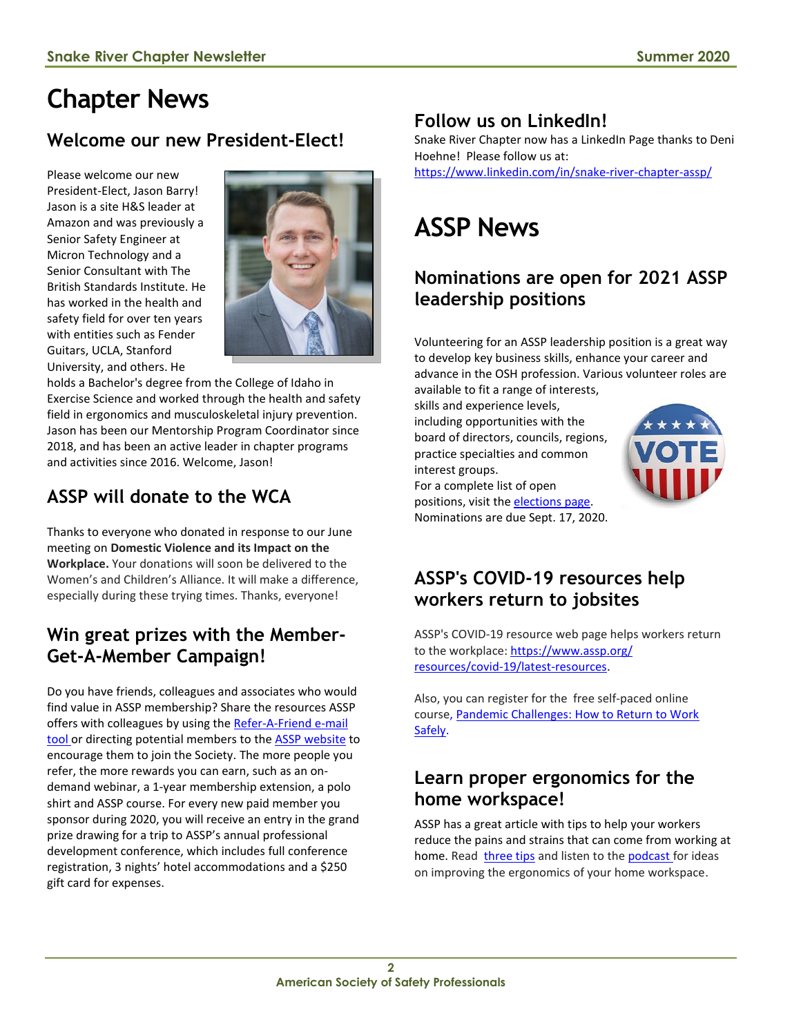## **Chapter News**

## **Welcome our new President-Elect!**

Please welcome our new President-Elect, Jason Barry! Jason is a site H&S leader at Amazon and was previously a Senior Safety Engineer at Micron Technology and a Senior Consultant with The British Standards Institute. He has worked in the health and safety field for over ten years with entities such as Fender Guitars, UCLA, Stanford University, and others. He



holds a Bachelor's degree from the College of Idaho in Exercise Science and worked through the health and safety field in ergonomics and musculoskeletal injury prevention. Jason has been our Mentorship Program Coordinator since 2018, and has been an active leader in chapter programs and activities since 2016. Welcome, Jason!

## **ASSP will donate to the WCA**

Thanks to everyone who donated in response to our June meeting on **Domestic Violence and its Impact on the Workplace.** Your donations will soon be delivered to the Women's and Children's Alliance. It will make a difference, especially during these trying times. Thanks, everyone!

### **Win great prizes with the Member-Get-A-Member Campaign!**

Do you have friends, colleagues and associates who would find value in ASSP membership? Share the resources ASSP offers with colleagues by using the [Refer-A-Friend e-mail](https://www.assp.org/membership/member-get-a-member) [tool](https://www.assp.org/membership/member-get-a-member) or directing potential members to the **ASSP** [website](https://www.assp.org/membership/apply-to-join) to encourage them to join the Society. The more people you refer, the more rewards you can earn, such as an ondemand webinar, a 1-year membership extension, a polo shirt and ASSP course. For every new paid member you sponsor during 2020, you will receive an entry in the grand prize drawing for a trip to ASSP's annual professional development conference, which includes full conference registration, 3 nights' hotel accommodations and a \$250 gift card for expenses.

## **Follow us on LinkedIn!**

Snake River Chapter now has a LinkedIn Page thanks to Deni Hoehne! Please follow us at:

<https://www.linkedin.com/in/snake-river-chapter-assp/>

# **ASSP News**

### **Nominations are open for 2021 ASSP leadership positions**

Volunteering for an ASSP leadership position is a great way to develop key business skills, enhance your career and advance in the OSH profession. Various volunteer roles are

available to fit a range of interests, skills and experience levels,

including opportunities with the board of directors, councils, regions, practice specialties and common interest groups.

positions, visit the [elections page.](https://www.assp.org/membership/elections)  Nominations are due Sept. 17, 2020.

For a complete list of open

## **[ASSP's COVID-19 resources help](http://send.assp.org/link.cfm?r=Ipnk2t7425DRL19P1dupQA~~&pe=-nbHnFOBYRY_yoMXKgKXHf8d191zrqvPR4cMgGVcyRjL7XtEqAovTA-e2eeTx_fYq6Fx_JQ0fKqVW9AxC9YeWg~~&t=gAndBSQDDuY1qLEWqcORbA~~)  [workers return to jobsites](http://send.assp.org/link.cfm?r=Ipnk2t7425DRL19P1dupQA~~&pe=-nbHnFOBYRY_yoMXKgKXHf8d191zrqvPR4cMgGVcyRjL7XtEqAovTA-e2eeTx_fYq6Fx_JQ0fKqVW9AxC9YeWg~~&t=gAndBSQDDuY1qLEWqcORbA~~)**

ASSP's COVID-19 resource web page helps workers return to the workplace[: https://www.assp.org/](https://www.assp.org/%0bresources/covid-19/latest-resources) [resources/covid-19/latest-resources.](https://www.assp.org/%0bresources/covid-19/latest-resources)

Also, you can register for the free self-paced online course, [Pandemic Challenges: How to Return to Work](http://send.assp.org/link.cfm?r=Ipnk2t7425DRL19P1dupQA~~&pe=J9QtHxajcUNTMZ64QuoZHMch3yoyovy9MHBDhk35jzDzuLbY4bPJj82FUzUdT4rElk2srJOTuVPpwNVfN-ubpg~~&t=9Dwzfj7xYZECVidg_huYcg~~)  [Safely.](http://send.assp.org/link.cfm?r=Ipnk2t7425DRL19P1dupQA~~&pe=J9QtHxajcUNTMZ64QuoZHMch3yoyovy9MHBDhk35jzDzuLbY4bPJj82FUzUdT4rElk2srJOTuVPpwNVfN-ubpg~~&t=9Dwzfj7xYZECVidg_huYcg~~)

#### **Learn proper ergonomics for the home workspace!**

ASSP has a great article with tips to help your workers reduce the pains and strains that can come from working at home. Read [three tips](http://send.assp.org/link.cfm?r=Ipnk2t7425DRL19P1dupQA~~&pe=QPKgIWILYB_POxwtswX3Tjjnnaw7KQikirN_irBKbrxojhUysDpYitUKudsIABKTWeVyPui2YiGavKxIwlQ0iA~~&t=fBw5ZbIeNkPXR5mwXuSZnA~~) and listen to the [podcast](http://send.assp.org/link.cfm?r=Ipnk2t7425DRL19P1dupQA~~&pe=ybIe4G1smS9GlhMgg83BO4PolIyDSSrNNZndz-H5y-Jmy2DwCrl6JYISCiNCpEOLKrVOZs1kEGZ6doKdEScw3Q~~&t=fBw5ZbIeNkPXR5mwXuSZnA~~) for ideas on improving the ergonomics of your home workspace.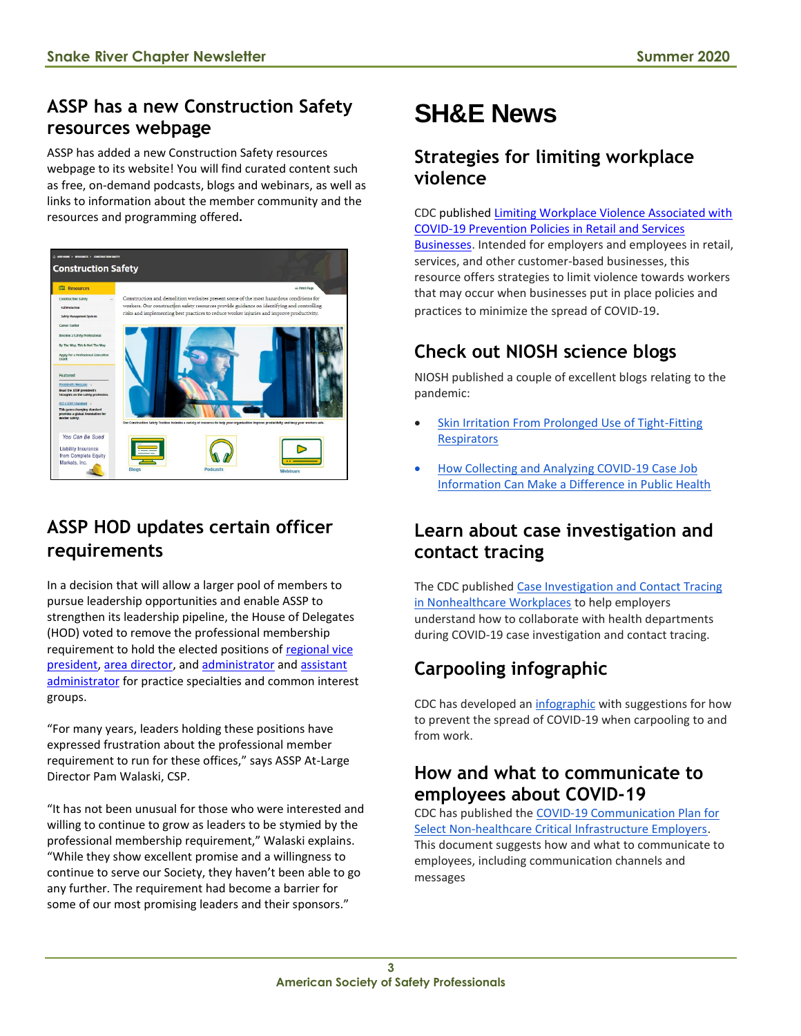## **ASSP has a new Construction Safety resources webpage**

ASSP has added a new Construction Safety resources webpage to its website! You will find curated content such as free, on-demand podcasts, blogs and webinars, as well as links to information about the member community and the resources and programming offered**.**



## **ASSP HOD updates certain officer requirements**

In a decision that will allow a larger pool of members to pursue leadership opportunities and enable ASSP to strengthen its leadership pipeline, the House of Delegates (HOD) voted to remove the professional membership requirement to hold the elected positions of [regional vice](https://www.assp.org/docs/default-source/community-leader-resources/regional-vice-president-area-director-tools/regional-vice-president/rvp-role-description.pdf)  [president,](https://www.assp.org/docs/default-source/community-leader-resources/regional-vice-president-area-director-tools/regional-vice-president/rvp-role-description.pdf) [area director,](https://www.assp.org/docs/default-source/committee-positions-and-leadership-roles/ad-role-description.pdf) and [administrator](https://www.assp.org/docs/default-source/community-leader-resources/volunteer-position-ps-administratorb993b6a2d30c682b82ddff00008da7ce.pdf) and [assistant](https://www.assp.org/docs/default-source/community-leader-resources/volunteer-position-ps-asst-administratorc893b6a2d30c682b82ddff00008da7ce.pdf)  [administrator](https://www.assp.org/docs/default-source/community-leader-resources/volunteer-position-ps-asst-administratorc893b6a2d30c682b82ddff00008da7ce.pdf) for practice specialties and common interest groups.

"For many years, leaders holding these positions have expressed frustration about the professional member requirement to run for these offices," says ASSP At-Large Director Pam Walaski, CSP.

"It has not been unusual for those who were interested and willing to continue to grow as leaders to be stymied by the professional membership requirement," Walaski explains. "While they show excellent promise and a willingness to continue to serve our Society, they haven't been able to go any further. The requirement had become a barrier for some of our most promising leaders and their sponsors."

## **SH&E News**

#### **Strategies for limiting workplace violence**

CDC published [Limiting Workplace Violence Associated with](https://t.emailupdates.cdc.gov/r/?id=h2b175a4b,1224c61e,1224f885)  [COVID-19 Prevention Policies in Retail and Services](https://t.emailupdates.cdc.gov/r/?id=h2b175a4b,1224c61e,1224f885)  [Businesses.](https://t.emailupdates.cdc.gov/r/?id=h2b175a4b,1224c61e,1224f885) Intended for employers and employees in retail, services, and other customer-based businesses, this resource offers strategies to limit violence towards workers that may occur when businesses put in place policies and practices to minimize the spread of COVID-19.

## **Check out NIOSH science blogs**

NIOSH published a couple of excellent blogs relating to the pandemic:

- Skin Irritation From Prolonged Use of Tight-Fitting **[Respirators](https://t.emailupdates.cdc.gov/r/?id=h27c099ed,11fe9d50,12011fa3)**
- [How Collecting and Analyzing COVID-19 Case Job](https://t.emailupdates.cdc.gov/r/?id=h27c099ed,11fe9d50,12011fa4)  [Information Can Make a Difference in Public Health](https://t.emailupdates.cdc.gov/r/?id=h27c099ed,11fe9d50,12011fa4)

#### **Learn about case investigation and contact tracing**

The CDC published [Case Investigation and Contact Tracing](https://t.emailupdates.cdc.gov/r/?id=h27c099ed,11fe9d50,12011fa5)  [in Nonhealthcare Workplaces](https://t.emailupdates.cdc.gov/r/?id=h27c099ed,11fe9d50,12011fa5) to help employers understand how to collaborate with health departments during COVID-19 case investigation and contact tracing.

## **Carpooling infographic**

CDC has developed an [infographic](https://t.emailupdates.cdc.gov/r/?id=h27c099ed,11fe9d50,12011fa6) with suggestions for how to prevent the spread of COVID-19 when carpooling to and from work.

#### **How and what to communicate to employees about COVID-19**

CDC has published the [COVID-19 Communication Plan for](https://t.emailupdates.cdc.gov/r/?id=h27c099ed,11fe9d50,12011fa7)  [Select Non-healthcare Critical Infrastructure Employers.](https://t.emailupdates.cdc.gov/r/?id=h27c099ed,11fe9d50,12011fa7) This document suggests how and what to communicate to employees, including communication channels and messages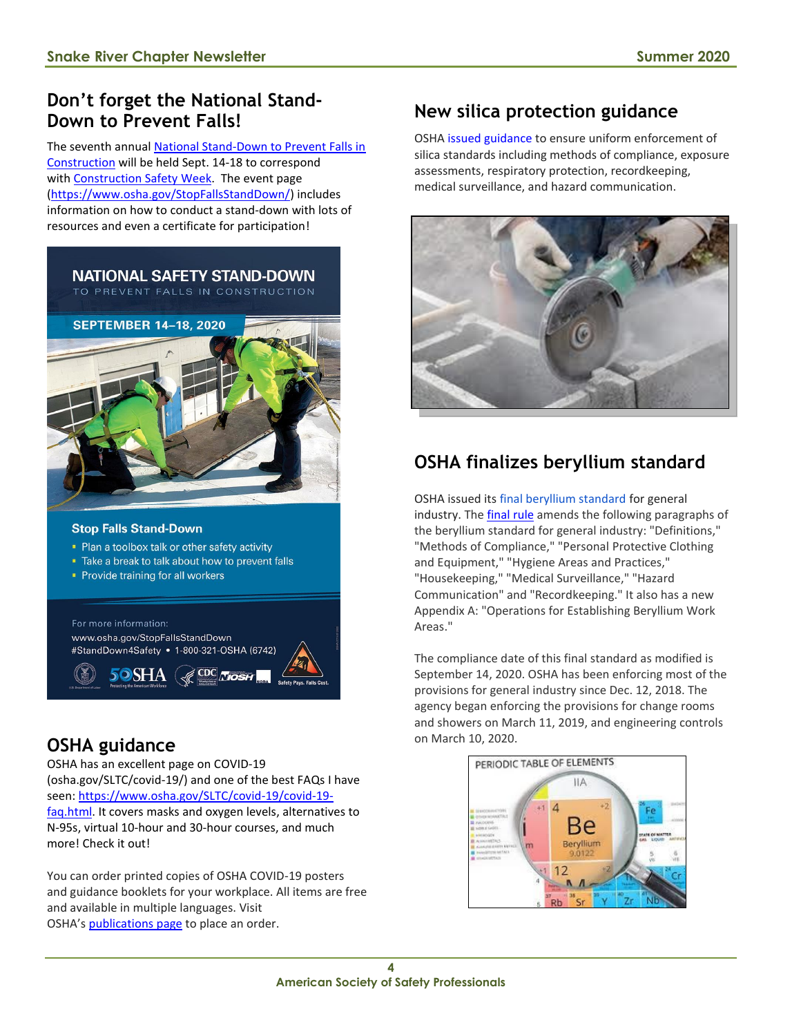#### **Don't forget the National Stand-Down to Prevent Falls!**

The seventh annual [National Stand-Down to Prevent Falls in](https://lnks.gd/l/eyJhbGciOiJIUzI1NiJ9.eyJidWxsZXRpbl9saW5rX2lkIjoxMDUsInVyaSI6ImJwMjpjbGljayIsImJ1bGxldGluX2lkIjoiMjAyMDA3MTYuMjQ1MDM4OTEiLCJ1cmwiOiJodHRwczovL3d3dy5vc2hhLmdvdi9TdG9wRmFsbHNTdGFuZERvd24vIn0.oH2zrkDwXBAxvZe0SckTw58r81U2uhgG4WX32NVx49A/s/783763422/br/81163596506-l)  [Construction](https://lnks.gd/l/eyJhbGciOiJIUzI1NiJ9.eyJidWxsZXRpbl9saW5rX2lkIjoxMDUsInVyaSI6ImJwMjpjbGljayIsImJ1bGxldGluX2lkIjoiMjAyMDA3MTYuMjQ1MDM4OTEiLCJ1cmwiOiJodHRwczovL3d3dy5vc2hhLmdvdi9TdG9wRmFsbHNTdGFuZERvd24vIn0.oH2zrkDwXBAxvZe0SckTw58r81U2uhgG4WX32NVx49A/s/783763422/br/81163596506-l) will be held Sept. 14-18 to correspond with [Construction Safety](https://lnks.gd/l/eyJhbGciOiJIUzI1NiJ9.eyJidWxsZXRpbl9saW5rX2lkIjoxMDYsInVyaSI6ImJwMjpjbGljayIsImJ1bGxldGluX2lkIjoiMjAyMDA3MTYuMjQ1MDM4OTEiLCJ1cmwiOiJodHRwczovL3d3dy5jb25zdHJ1Y3Rpb25zYWZldHl3ZWVrLmNvbS8ifQ.UwQy8A__p4KCltexqOul_K-9jSDTxWGmEV3tiCQoJc8/s/783763422/br/81163596506-l) Week. The event page [\(https://www.osha.gov/StopFallsStandDown/\)](https://www.osha.gov/StopFallsStandDown/) includes information on how to conduct a stand-down with lots of resources and even a certificate for participation!



#### **Stop Falls Stand-Down**

- Plan a toolbox talk or other safety activity
- Take a break to talk about how to prevent falls
- Provide training for all workers

**50SHA** 

For more information: www.osha.gov/StopFallsStandDown #StandDown4Safety • 1-800-321-OSHA (6742)

#### **OSHA guidance**

OSHA has an excellent page on COVID-19 (osha.gov/SLTC/covid-19/) and one of the best FAQs I have seen: [https://www.osha.gov/SLTC/covid-19/covid-19](https://www.osha.gov/SLTC/covid-19/covid-19-faq.html) [faq.html.](https://www.osha.gov/SLTC/covid-19/covid-19-faq.html) It covers masks and oxygen levels, alternatives to N-95s, virtual 10-hour and 30-hour courses, and much more! Check it out!

You can order printed copies of OSHA COVID-19 posters and guidance booklets for your workplace. All items are free and available in multiple languages. Visit OSHA's [publications page](https://lnks.gd/l/eyJhbGciOiJIUzI1NiJ9.eyJidWxsZXRpbl9saW5rX2lkIjoxMDAsInVyaSI6ImJwMjpjbGljayIsImJ1bGxldGluX2lkIjoiMjAyMDA4MjcuMjYxOTIxMDEiLCJ1cmwiOiJodHRwczovL3d3dy5vc2hhLmdvdi9wbHMvcHVibGljYXRpb25zL3B1YmxpY2F0aW9uLnNlYXJjaHJlc3VsdHM_cFNlYXJjaD1jb3JvbmF2aXJ1cyU3Q2FkZCt0bytjYXJ0In0.BDv8k14A1-ZAtWpcocyN3FE-GjqwtpoCvK4f-npSpes/s/783763422/br/82886653734-l) to place an order.

### **New silica protection guidance**

OSHA [issued guidance](https://lnks.gd/l/eyJhbGciOiJIUzI1NiJ9.eyJidWxsZXRpbl9saW5rX2lkIjoxMDcsInVyaSI6ImJwMjpjbGljayIsImJ1bGxldGluX2lkIjoiMjAyMDA3MTYuMjQ1MDM4OTEiLCJ1cmwiOiJodHRwczovL3d3dy5vc2hhLmdvdi9uZXdzL25ld3NyZWxlYXNlcy90cmFkZS8wNjI2MjAyMCJ9.LaG6cneWitqFKw-ittJv-TH_7Y3Y_3zJ6M3L8dDrRWc/s/783763422/br/81163596506-l) to ensure uniform enforcement of silica standards including methods of compliance, exposure assessments, respiratory protection, recordkeeping, medical surveillance, and hazard communication.



## **OSHA finalizes beryllium standard**

OSHA issued its [final beryllium standard](https://lnks.gd/l/eyJhbGciOiJIUzI1NiJ9.eyJidWxsZXRpbl9saW5rX2lkIjoxMDYsInVyaSI6ImJwMjpjbGljayIsImJ1bGxldGluX2lkIjoiMjAyMDA3MzEuMjUxNDE3NjEiLCJ1cmwiOiJodHRwczovL3d3dy5vc2hhLmdvdi9uZXdzL25ld3NyZWxlYXNlcy90cmFkZS8wNzEzMjAyMCJ9.-dxI7gCA1tvYf8NiFOvqvlSypx90YgtiDvs6VejZ8sM/s/783763422/br/81760824864-l) for general industry. The [final rule](https://s3.amazonaws.com/public-inspection.federalregister.gov/2020-10678.pdf) amends the following paragraphs of the beryllium standard for general industry: "Definitions," "Methods of Compliance," "Personal Protective Clothing and Equipment," "Hygiene Areas and Practices," "Housekeeping," "Medical Surveillance," "Hazard Communication" and "Recordkeeping." It also has a new Appendix A: "Operations for Establishing Beryllium Work Areas."

The compliance date of this final standard as modified is September 14, 2020. OSHA has been enforcing most of the provisions for general industry since Dec. 12, 2018. The agency began enforcing the provisions for change rooms and showers on March 11, 2019, and engineering controls on March 10, 2020.